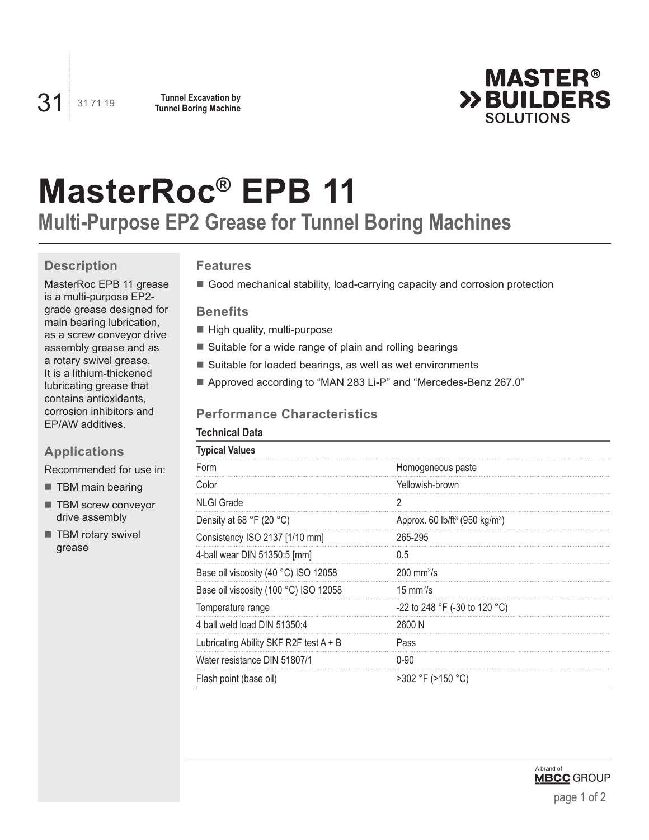

# **MasterRoc® EPB 11**

# **Multi-Purpose EP2 Grease for Tunnel Boring Machines**

# **Description**

MasterRoc EPB 11 grease is a multi-purpose EP2 grade grease designed for main bearing lubrication, as a screw conveyor drive assembly grease and as a rotary swivel grease. It is a lithium-thickened lubricating grease that contains antioxidants, corrosion inhibitors and EP/AW additives.

# **Applications**

Recommended for use in:

- **TBM** main bearing
- **TBM screw conveyor** drive assembly
- **TBM rotary swivel** grease

## **Features**

Good mechanical stability, load-carrying capacity and corrosion protection

#### **Benefits**

- High quality, multi-purpose
- Suitable for a wide range of plain and rolling bearings
- Suitable for loaded bearings, as well as wet environments
- Approved according to "MAN 283 Li-P" and "Mercedes-Benz 267.0"

# **Performance Characteristics**

| <b>Technical Data</b>                    |                                                        |  |
|------------------------------------------|--------------------------------------------------------|--|
| <b>Typical Values</b>                    |                                                        |  |
| Form                                     | Homogeneous paste                                      |  |
| Color                                    | Yellowish-brown                                        |  |
| <b>NLGI Grade</b>                        | 2                                                      |  |
| Density at 68 °F (20 °C)                 | Approx. 60 lb/ft <sup>3</sup> (950 kg/m <sup>3</sup> ) |  |
| Consistency ISO 2137 [1/10 mm]           | 265-295                                                |  |
| 4-ball wear DIN 51350:5 [mm]             | 0.5                                                    |  |
| Base oil viscosity (40 °C) ISO 12058     | $200 \text{ mm}^2$ /s                                  |  |
| Base oil viscosity (100 °C) ISO 12058    | $15 \text{ mm}^2$ /s                                   |  |
| Temperature range                        | -22 to 248 °F (-30 to 120 °C)                          |  |
| 4 ball weld load DIN 51350:4             | 2600 N                                                 |  |
| Lubricating Ability SKF R2F test $A + B$ | Pass                                                   |  |
| Water resistance DIN 51807/1             | $0 - 90$                                               |  |
| Flash point (base oil)                   | >302 °F (>150 °C)                                      |  |